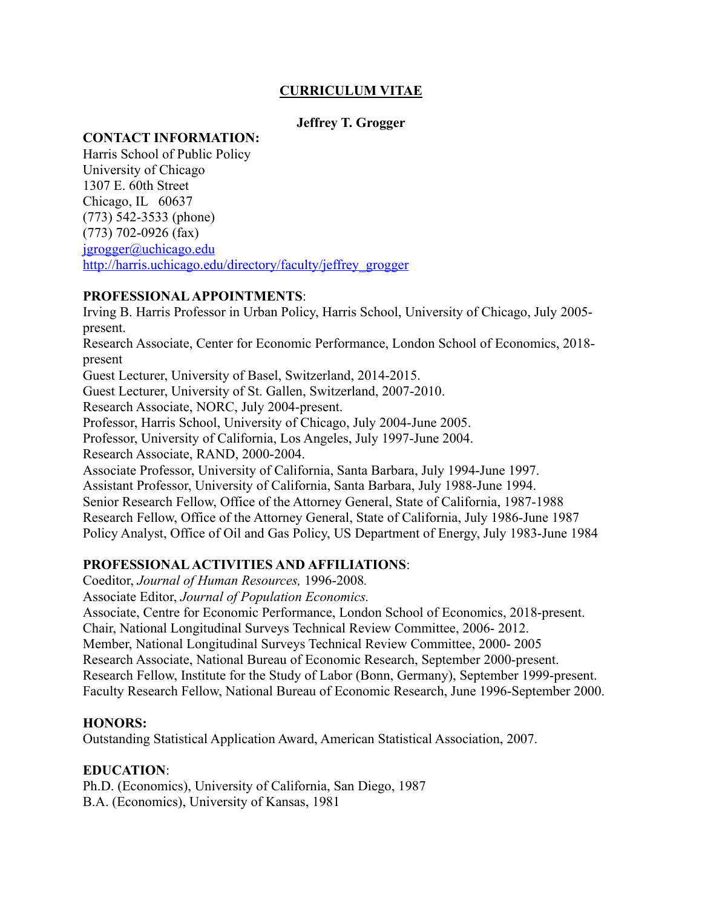## **CURRICULUM VITAE**

## **Jeffrey T. Grogger**

#### **CONTACT INFORMATION:**

Harris School of Public Policy University of Chicago 1307 E. 60th Street Chicago, IL 60637 (773) 542-3533 (phone) (773) 702-0926 (fax) jgrogger@uchicago.edu http://harris.uchicago.edu/directory/faculty/jeffrey\_grogger

## **PROFESSIONAL APPOINTMENTS**:

Irving B. Harris Professor in Urban Policy, Harris School, University of Chicago, July 2005 present. Research Associate, Center for Economic Performance, London School of Economics, 2018 present Guest Lecturer, University of Basel, Switzerland, 2014-2015. Guest Lecturer, University of St. Gallen, Switzerland, 2007-2010. Research Associate, NORC, July 2004-present. Professor, Harris School, University of Chicago, July 2004-June 2005. Professor, University of California, Los Angeles, July 1997-June 2004. Research Associate, RAND, 2000-2004. Associate Professor, University of California, Santa Barbara, July 1994-June 1997. Assistant Professor, University of California, Santa Barbara, July 1988-June 1994. Senior Research Fellow, Office of the Attorney General, State of California, 1987-1988 Research Fellow, Office of the Attorney General, State of California, July 1986-June 1987 Policy Analyst, Office of Oil and Gas Policy, US Department of Energy, July 1983-June 1984

### **PROFESSIONAL ACTIVITIES AND AFFILIATIONS**:

Coeditor, *Journal of Human Resources,* 1996-2008*.* 

Associate Editor, *Journal of Population Economics.*

Associate, Centre for Economic Performance, London School of Economics, 2018-present. Chair, National Longitudinal Surveys Technical Review Committee, 2006- 2012. Member, National Longitudinal Surveys Technical Review Committee, 2000- 2005 Research Associate, National Bureau of Economic Research, September 2000-present. Research Fellow, Institute for the Study of Labor (Bonn, Germany), September 1999-present. Faculty Research Fellow, National Bureau of Economic Research, June 1996-September 2000.

### **HONORS:**

Outstanding Statistical Application Award, American Statistical Association, 2007.

### **EDUCATION**:

Ph.D. (Economics), University of California, San Diego, 1987 B.A. (Economics), University of Kansas, 1981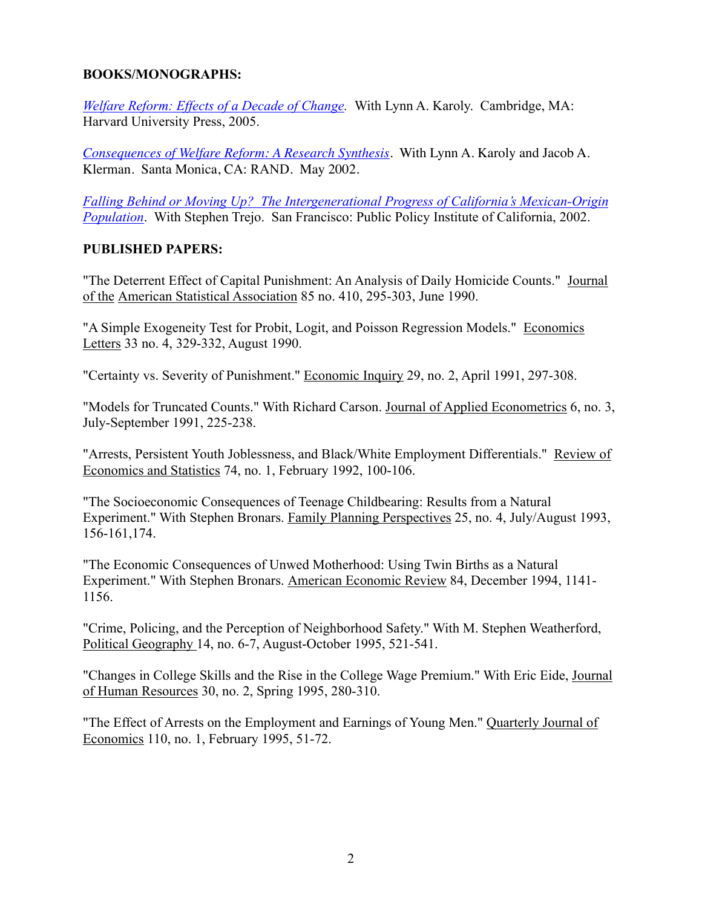### **BOOKS/MONOGRAPHS:**

*Welfare Reform: Effects of a Decade of Change.* With Lynn A. Karoly. Cambridge, MA: Harvard University Press, 2005.

*Consequences of Welfare Reform: A Research Synthesis*. With Lynn A. Karoly and Jacob A. Klerman. Santa Monica, CA: RAND. May 2002.

*Falling Behind or Moving Up? The Intergenerational Progress of California's Mexican-Origin Population*. With Stephen Trejo. San Francisco: Public Policy Institute of California, 2002.

#### **PUBLISHED PAPERS:**

"The Deterrent Effect of Capital Punishment: An Analysis of Daily Homicide Counts." Journal of the American Statistical Association 85 no. 410, 295-303, June 1990.

"A Simple Exogeneity Test for Probit, Logit, and Poisson Regression Models." Economics Letters 33 no. 4, 329-332, August 1990.

"Certainty vs. Severity of Punishment." Economic Inquiry 29, no. 2, April 1991, 297-308.

"Models for Truncated Counts." With Richard Carson. Journal of Applied Econometrics 6, no. 3, July-September 1991, 225-238.

"Arrests, Persistent Youth Joblessness, and Black/White Employment Differentials." Review of Economics and Statistics 74, no. 1, February 1992, 100-106.

"The Socioeconomic Consequences of Teenage Childbearing: Results from a Natural Experiment." With Stephen Bronars. Family Planning Perspectives 25, no. 4, July/August 1993, 156-161,174.

"The Economic Consequences of Unwed Motherhood: Using Twin Births as a Natural Experiment." With Stephen Bronars. American Economic Review 84, December 1994, 1141- 1156.

"Crime, Policing, and the Perception of Neighborhood Safety." With M. Stephen Weatherford, Political Geography 14, no. 6-7, August-October 1995, 521-541.

"Changes in College Skills and the Rise in the College Wage Premium." With Eric Eide, Journal of Human Resources 30, no. 2, Spring 1995, 280-310.

"The Effect of Arrests on the Employment and Earnings of Young Men." Quarterly Journal of Economics 110, no. 1, February 1995, 51-72.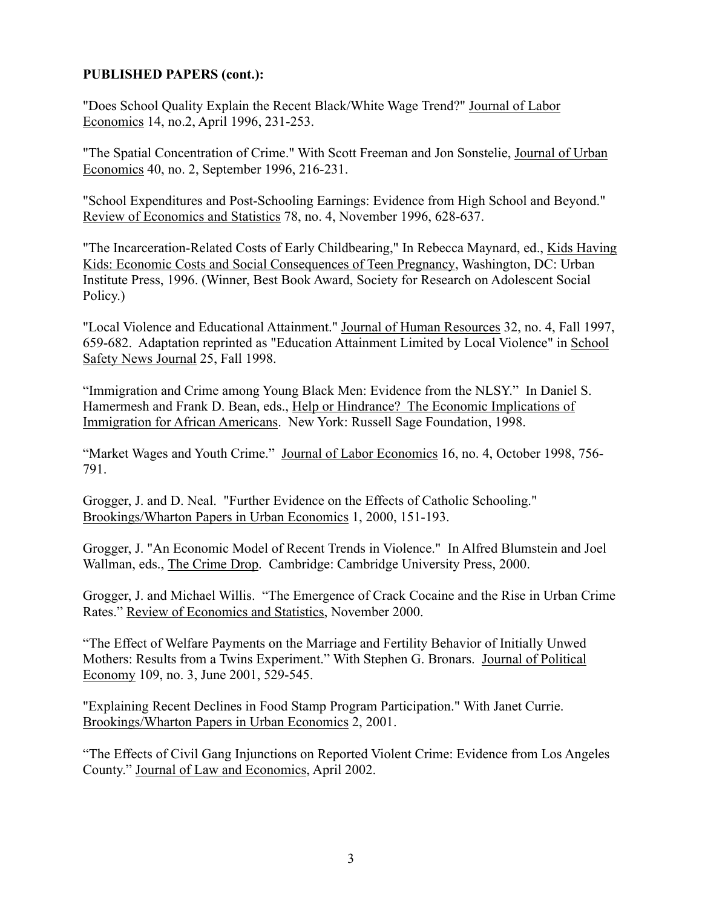#### **PUBLISHED PAPERS (cont.):**

"Does School Quality Explain the Recent Black/White Wage Trend?" Journal of Labor Economics 14, no.2, April 1996, 231-253.

"The Spatial Concentration of Crime." With Scott Freeman and Jon Sonstelie, Journal of Urban Economics 40, no. 2, September 1996, 216-231.

"School Expenditures and Post-Schooling Earnings: Evidence from High School and Beyond." Review of Economics and Statistics 78, no. 4, November 1996, 628-637.

"The Incarceration-Related Costs of Early Childbearing," In Rebecca Maynard, ed., Kids Having Kids: Economic Costs and Social Consequences of Teen Pregnancy, Washington, DC: Urban Institute Press, 1996. (Winner, Best Book Award, Society for Research on Adolescent Social Policy.)

"Local Violence and Educational Attainment." Journal of Human Resources 32, no. 4, Fall 1997, 659-682. Adaptation reprinted as "Education Attainment Limited by Local Violence" in School Safety News Journal 25, Fall 1998.

"Immigration and Crime among Young Black Men: Evidence from the NLSY." In Daniel S. Hamermesh and Frank D. Bean, eds., Help or Hindrance? The Economic Implications of Immigration for African Americans. New York: Russell Sage Foundation, 1998.

"Market Wages and Youth Crime." Journal of Labor Economics 16, no. 4, October 1998, 756- 791.

Grogger, J. and D. Neal. "Further Evidence on the Effects of Catholic Schooling." Brookings/Wharton Papers in Urban Economics 1, 2000, 151-193.

Grogger, J. "An Economic Model of Recent Trends in Violence." In Alfred Blumstein and Joel Wallman, eds., The Crime Drop. Cambridge: Cambridge University Press, 2000.

Grogger, J. and Michael Willis. "The Emergence of Crack Cocaine and the Rise in Urban Crime Rates." Review of Economics and Statistics, November 2000.

"The Effect of Welfare Payments on the Marriage and Fertility Behavior of Initially Unwed Mothers: Results from a Twins Experiment." With Stephen G. Bronars. Journal of Political Economy 109, no. 3, June 2001, 529-545.

"Explaining Recent Declines in Food Stamp Program Participation." With Janet Currie. Brookings/Wharton Papers in Urban Economics 2, 2001.

"The Effects of Civil Gang Injunctions on Reported Violent Crime: Evidence from Los Angeles County." Journal of Law and Economics, April 2002.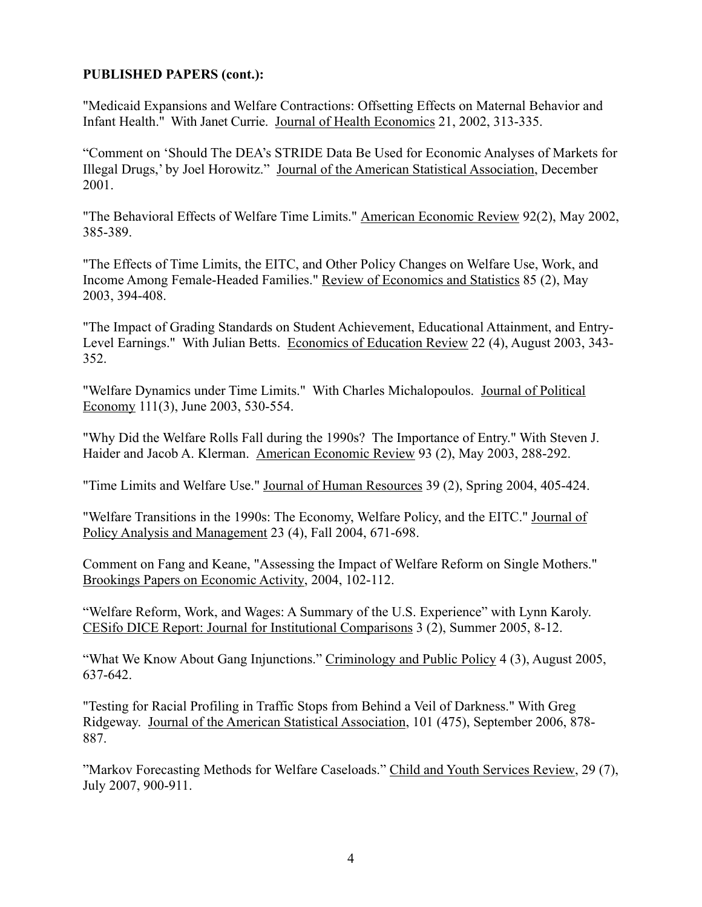#### **PUBLISHED PAPERS (cont.):**

"Medicaid Expansions and Welfare Contractions: Offsetting Effects on Maternal Behavior and Infant Health." With Janet Currie. Journal of Health Economics 21, 2002, 313-335.

"Comment on 'Should The DEA's STRIDE Data Be Used for Economic Analyses of Markets for Illegal Drugs,' by Joel Horowitz." Journal of the American Statistical Association, December 2001.

"The Behavioral Effects of Welfare Time Limits." American Economic Review 92(2), May 2002, 385-389.

"The Effects of Time Limits, the EITC, and Other Policy Changes on Welfare Use, Work, and Income Among Female-Headed Families." Review of Economics and Statistics 85 (2), May 2003, 394-408.

"The Impact of Grading Standards on Student Achievement, Educational Attainment, and Entry-Level Earnings." With Julian Betts. Economics of Education Review 22 (4), August 2003, 343- 352.

"Welfare Dynamics under Time Limits." With Charles Michalopoulos. Journal of Political Economy 111(3), June 2003, 530-554.

"Why Did the Welfare Rolls Fall during the 1990s? The Importance of Entry." With Steven J. Haider and Jacob A. Klerman. American Economic Review 93 (2), May 2003, 288-292.

"Time Limits and Welfare Use." Journal of Human Resources 39 (2), Spring 2004, 405-424.

"Welfare Transitions in the 1990s: The Economy, Welfare Policy, and the EITC." Journal of Policy Analysis and Management 23 (4), Fall 2004, 671-698.

Comment on Fang and Keane, "Assessing the Impact of Welfare Reform on Single Mothers." Brookings Papers on Economic Activity, 2004, 102-112.

"Welfare Reform, Work, and Wages: A Summary of the U.S. Experience" with Lynn Karoly. CESifo DICE Report: Journal for Institutional Comparisons 3 (2), Summer 2005, 8-12.

"What We Know About Gang Injunctions." Criminology and Public Policy 4 (3), August 2005, 637-642.

"Testing for Racial Profiling in Traffic Stops from Behind a Veil of Darkness." With Greg Ridgeway. Journal of the American Statistical Association, 101 (475), September 2006, 878- 887.

"Markov Forecasting Methods for Welfare Caseloads." Child and Youth Services Review, 29 (7), July 2007, 900-911.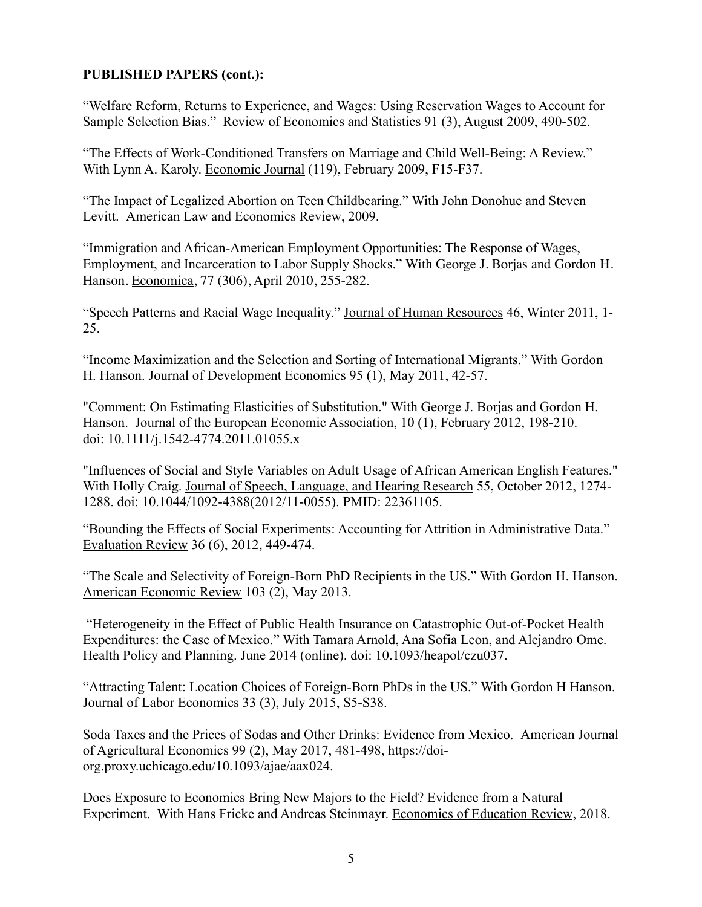### **PUBLISHED PAPERS (cont.):**

"Welfare Reform, Returns to Experience, and Wages: Using Reservation Wages to Account for Sample Selection Bias." Review of Economics and Statistics 91 (3), August 2009, 490-502.

"The Effects of Work-Conditioned Transfers on Marriage and Child Well-Being: A Review." With Lynn A. Karoly. Economic Journal (119), February 2009, F15-F37.

"The Impact of Legalized Abortion on Teen Childbearing." With John Donohue and Steven Levitt. American Law and Economics Review, 2009.

"Immigration and African-American Employment Opportunities: The Response of Wages, Employment, and Incarceration to Labor Supply Shocks." With George J. Borjas and Gordon H. Hanson. Economica, 77 (306), April 2010, 255-282.

"Speech Patterns and Racial Wage Inequality." Journal of Human Resources 46, Winter 2011, 1- 25.

"Income Maximization and the Selection and Sorting of International Migrants." With Gordon H. Hanson. Journal of Development Economics 95 (1), May 2011, 42-57.

"Comment: On Estimating Elasticities of Substitution." With George J. Borjas and Gordon H. Hanson. Journal of the European Economic Association, 10 (1), February 2012, 198-210. doi: 10.1111/j.1542-4774.2011.01055.x

"Influences of Social and Style Variables on Adult Usage of African American English Features." With Holly Craig. Journal of Speech, Language, and Hearing Research 55, October 2012, 1274- 1288. doi: 10.1044/1092-4388(2012/11-0055). PMID: 22361105.

"Bounding the Effects of Social Experiments: Accounting for Attrition in Administrative Data." Evaluation Review 36 (6), 2012, 449-474.

"The Scale and Selectivity of Foreign-Born PhD Recipients in the US." With Gordon H. Hanson. American Economic Review 103 (2), May 2013.

"Heterogeneity in the Effect of Public Health Insurance on Catastrophic Out-of-Pocket Health Expenditures: the Case of Mexico." With Tamara Arnold, Ana Sofia Leon, and Alejandro Ome. Health Policy and Planning. June 2014 (online). doi: 10.1093/heapol/czu037.

"Attracting Talent: Location Choices of Foreign-Born PhDs in the US." With Gordon H Hanson. Journal of Labor Economics 33 (3), July 2015, S5-S38.

Soda Taxes and the Prices of Sodas and Other Drinks: Evidence from Mexico. American Journal of Agricultural Economics 99 (2), May 2017, 481-498, https://doiorg.proxy.uchicago.edu/10.1093/ajae/aax024.

Does Exposure to Economics Bring New Majors to the Field? Evidence from a Natural Experiment. With Hans Fricke and Andreas Steinmayr. Economics of Education Review, 2018.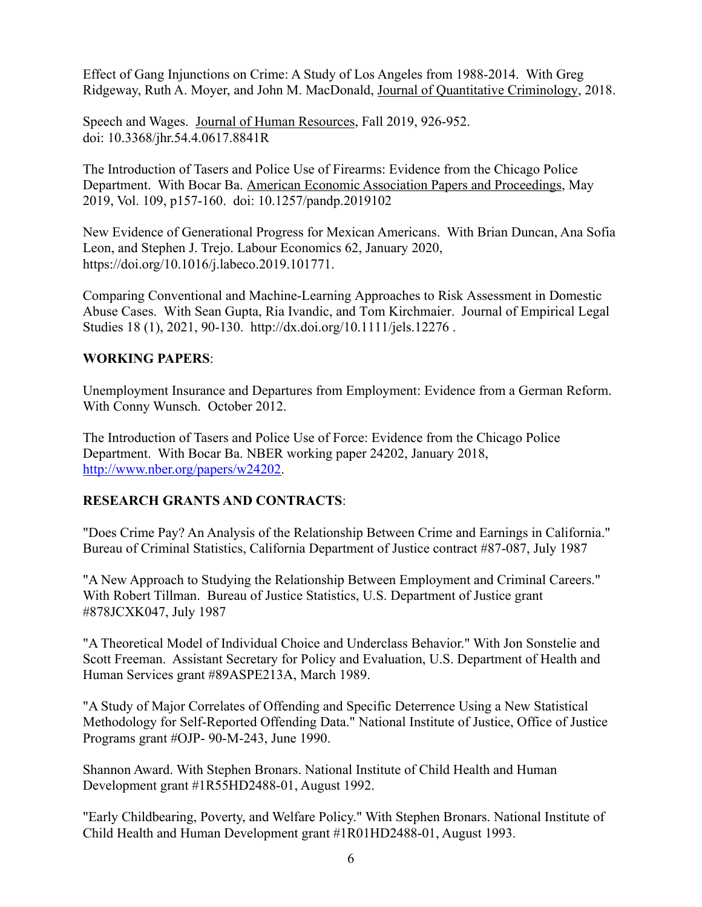Effect of Gang Injunctions on Crime: A Study of Los Angeles from 1988-2014. With Greg Ridgeway, Ruth A. Moyer, and John M. MacDonald, Journal of Quantitative Criminology, 2018.

Speech and Wages. Journal of Human Resources, Fall 2019, 926-952. doi: 10.3368/jhr.54.4.0617.8841R

The Introduction of Tasers and Police Use of Firearms: Evidence from the Chicago Police Department. With Bocar Ba. American Economic Association Papers and Proceedings, May 2019, Vol. 109, p157-160. doi: 10.1257/pandp.2019102

New Evidence of Generational Progress for Mexican Americans. With Brian Duncan, Ana Sofia Leon, and Stephen J. Trejo. Labour Economics 62, January 2020, https://doi.org/10.1016/j.labeco.2019.101771.

Comparing Conventional and Machine-Learning Approaches to Risk Assessment in Domestic Abuse Cases. With Sean Gupta, Ria Ivandic, and Tom Kirchmaier. Journal of Empirical Legal Studies 18 (1), 2021, 90-130. http://dx.doi.org/10.1111/jels.12276 .

### **WORKING PAPERS**:

Unemployment Insurance and Departures from Employment: Evidence from a German Reform. With Conny Wunsch. October 2012.

The Introduction of Tasers and Police Use of Force: Evidence from the Chicago Police Department. With Bocar Ba. NBER working paper 24202, January 2018, http://www.nber.org/papers/w24202.

# **RESEARCH GRANTS AND CONTRACTS**:

"Does Crime Pay? An Analysis of the Relationship Between Crime and Earnings in California." Bureau of Criminal Statistics, California Department of Justice contract #87-087, July 1987

"A New Approach to Studying the Relationship Between Employment and Criminal Careers." With Robert Tillman. Bureau of Justice Statistics, U.S. Department of Justice grant #878JCXK047, July 1987

"A Theoretical Model of Individual Choice and Underclass Behavior." With Jon Sonstelie and Scott Freeman. Assistant Secretary for Policy and Evaluation, U.S. Department of Health and Human Services grant #89ASPE213A, March 1989.

"A Study of Major Correlates of Offending and Specific Deterrence Using a New Statistical Methodology for Self-Reported Offending Data." National Institute of Justice, Office of Justice Programs grant #OJP- 90-M-243, June 1990.

Shannon Award. With Stephen Bronars. National Institute of Child Health and Human Development grant #1R55HD2488-01, August 1992.

"Early Childbearing, Poverty, and Welfare Policy." With Stephen Bronars. National Institute of Child Health and Human Development grant #1R01HD2488-01, August 1993.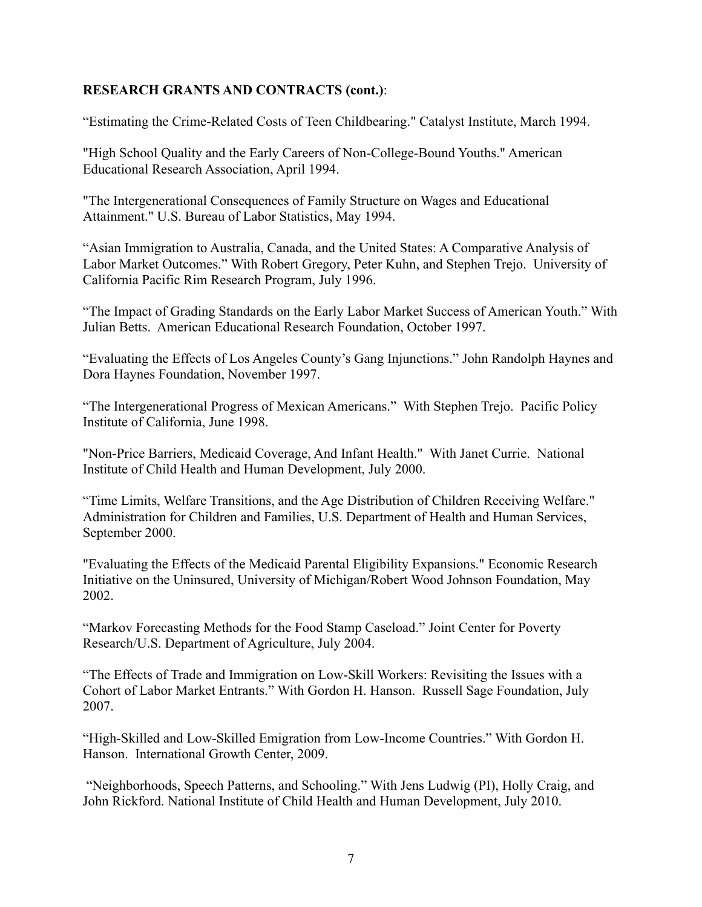### **RESEARCH GRANTS AND CONTRACTS (cont.)**:

"Estimating the Crime-Related Costs of Teen Childbearing." Catalyst Institute, March 1994.

"High School Quality and the Early Careers of Non-College-Bound Youths." American Educational Research Association, April 1994.

"The Intergenerational Consequences of Family Structure on Wages and Educational Attainment." U.S. Bureau of Labor Statistics, May 1994.

"Asian Immigration to Australia, Canada, and the United States: A Comparative Analysis of Labor Market Outcomes." With Robert Gregory, Peter Kuhn, and Stephen Trejo. University of California Pacific Rim Research Program, July 1996.

"The Impact of Grading Standards on the Early Labor Market Success of American Youth." With Julian Betts. American Educational Research Foundation, October 1997.

"Evaluating the Effects of Los Angeles County's Gang Injunctions." John Randolph Haynes and Dora Haynes Foundation, November 1997.

"The Intergenerational Progress of Mexican Americans." With Stephen Trejo. Pacific Policy Institute of California, June 1998.

"Non-Price Barriers, Medicaid Coverage, And Infant Health." With Janet Currie. National Institute of Child Health and Human Development, July 2000.

"Time Limits, Welfare Transitions, and the Age Distribution of Children Receiving Welfare." Administration for Children and Families, U.S. Department of Health and Human Services, September 2000.

"Evaluating the Effects of the Medicaid Parental Eligibility Expansions." Economic Research Initiative on the Uninsured, University of Michigan/Robert Wood Johnson Foundation, May 2002.

"Markov Forecasting Methods for the Food Stamp Caseload." Joint Center for Poverty Research/U.S. Department of Agriculture, July 2004.

"The Effects of Trade and Immigration on Low-Skill Workers: Revisiting the Issues with a Cohort of Labor Market Entrants." With Gordon H. Hanson. Russell Sage Foundation, July 2007.

"High-Skilled and Low-Skilled Emigration from Low-Income Countries." With Gordon H. Hanson. International Growth Center, 2009.

"Neighborhoods, Speech Patterns, and Schooling." With Jens Ludwig (PI), Holly Craig, and John Rickford. National Institute of Child Health and Human Development, July 2010.